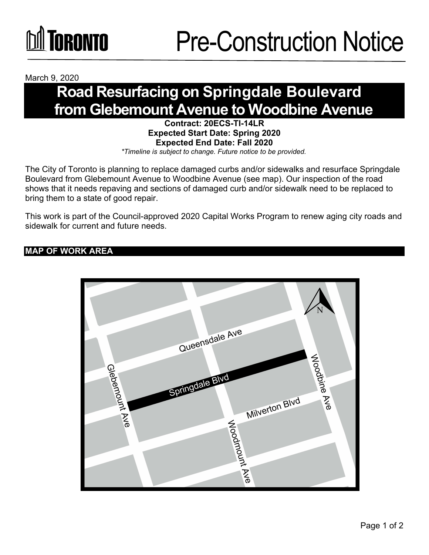

March 9, 2020

### **Road Resurfacing on Springdale Boulevard from Glebemount Avenue to Woodbine Avenue**

**Contract: 20ECS-TI-14LR Expected Start Date: Spring 2020 Expected End Date: Fall 2020**  *\*Timeline is subject to change. Future notice to be provided.*

The City of Toronto is planning to replace damaged curbs and/or sidewalks and resurface Springdale Boulevard from Glebemount Avenue to Woodbine Avenue (see map). Our inspection of the road shows that it needs repaving and sections of damaged curb and/or sidewalk need to be replaced to bring them to a state of good repair.

This work is part of the Council-approved 2020 Capital Works Program to renew aging city roads and sidewalk for current and future needs.

### **MAP OF WORK AREA**